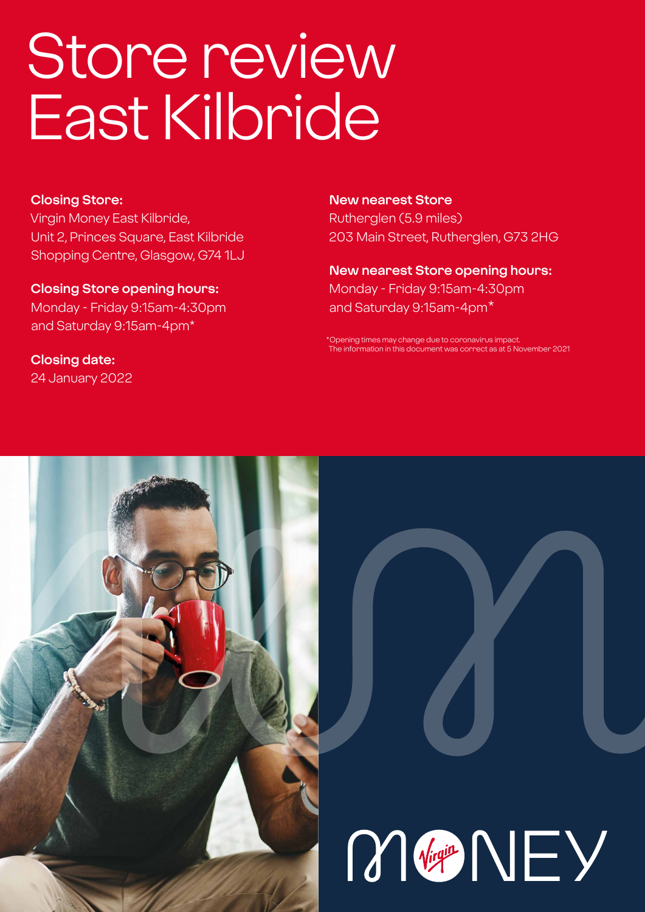# Store review East Kilbride

### **Closing Store:**

Virgin Money East Kilbride, Unit 2, Princes Square, East Kilbride Shopping Centre, Glasgow, G74 1LJ

**Closing Store opening hours:**  Monday - Friday 9:15am-4:30pm and Saturday 9:15am-4pm\*

**Closing date:**  24 January 2022

### **New nearest Store**

Rutherglen (5.9 miles) 203 Main Street, Rutherglen, G73 2HG

### **New nearest Store opening hours:** Monday - Friday 9:15am-4:30pm and Saturday 9:15am-4pm\*

\*Opening times may change due to coronavirus impact. information in this document was correct as at 5 November 2021



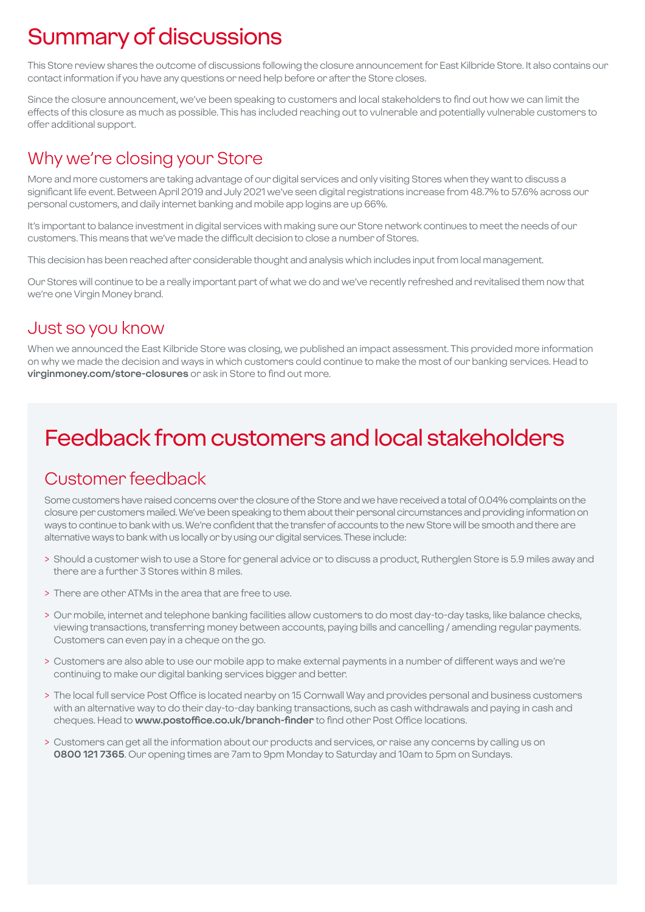# Summary of discussions

This Store review shares the outcome of discussions following the closure announcement for East Kilbride Store. It also contains our contact information if you have any questions or need help before or after the Store closes.

Since the closure announcement, we've been speaking to customers and local stakeholders to find out how we can limit the effects of this closure as much as possible. This has included reaching out to vulnerable and potentially vulnerable customers to offer additional support.

### Why we're closing your Store

More and more customers are taking advantage of our digital services and only visiting Stores when they want to discuss a significant life event. Between April 2019 and July 2021 we've seen digital registrations increase from 48.7% to 57.6% across our personal customers, and daily internet banking and mobile app logins are up 66%.

It's important to balance investment in digital services with making sure our Store network continues to meet the needs of our customers. This means that we've made the difficult decision to close a number of Stores.

This decision has been reached after considerable thought and analysis which includes input from local management.

Our Stores will continue to be a really important part of what we do and we've recently refreshed and revitalised them now that we're one Virgin Money brand.

### Just so you know

When we announced the East Kilbride Store was closing, we published an impact assessment. This provided more information on why we made the decision and ways in which customers could continue to make the most of our banking services. Head to **virginmoney.com/store-closures** or ask in Store to find out more.

# Feedback from customers and local stakeholders

### Customer feedback

Some customers have raised concerns over the closure of the Store and we have received a total of 0.04% complaints on the closure per customers mailed. We've been speaking to them about their personal circumstances and providing information on ways to continue to bank with us. We're confident that the transfer of accounts to the new Store will be smooth and there are alternative ways to bank with us locally or by using our digital services. These include:

- > Should a customer wish to use a Store for general advice or to discuss a product, Rutherglen Store is 5.9 miles away and there are a further 3 Stores within 8 miles.
- > There are other ATMs in the area that are free to use.
- > Our mobile, internet and telephone banking facilities allow customers to do most day-to-day tasks, like balance checks, viewing transactions, transferring money between accounts, paying bills and cancelling / amending regular payments. Customers can even pay in a cheque on the go.
- > Customers are also able to use our mobile app to make external payments in a number of different ways and we're continuing to make our digital banking services bigger and better.
- > The local full service Post Office is located nearby on 15 Cornwall Way and provides personal and business customers with an alternative way to do their day-to-day banking transactions, such as cash withdrawals and paying in cash and cheques. Head to **www.postoffice.co.uk/branch-finder** to find other Post Office locations.
- > Customers can get all the information about our products and services, or raise any concerns by calling us on **0800 121 7365**. Our opening times are 7am to 9pm Monday to Saturday and 10am to 5pm on Sundays.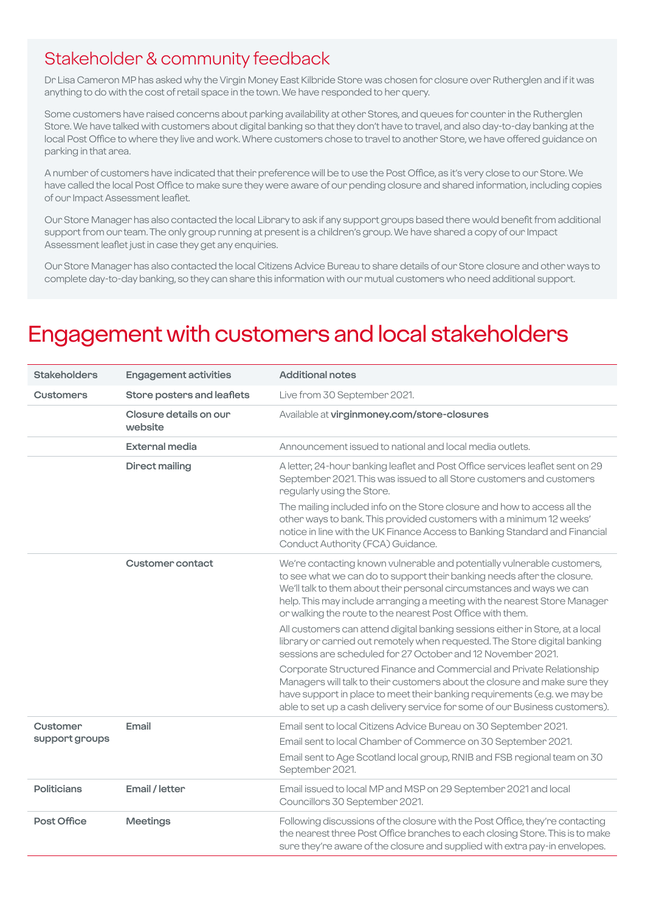### Stakeholder & community feedback

Dr Lisa Cameron MP has asked why the Virgin Money East Kilbride Store was chosen for closure over Rutherglen and if it was anything to do with the cost of retail space in the town. We have responded to her query.

Some customers have raised concerns about parking availability at other Stores, and queues for counter in the Rutherglen Store. We have talked with customers about digital banking so that they don't have to travel, and also day-to-day banking at the local Post Office to where they live and work. Where customers chose to travel to another Store, we have offered guidance on parking in that area.

A number of customers have indicated that their preference will be to use the Post Office, as it's very close to our Store. We have called the local Post Office to make sure they were aware of our pending closure and shared information, including copies of our Impact Assessment leaflet.

Our Store Manager has also contacted the local Library to ask if any support groups based there would benefit from additional support from our team. The only group running at present is a children's group. We have shared a copy of our Impact Assessment leaflet just in case they get any enquiries.

Our Store Manager has also contacted the local Citizens Advice Bureau to share details of our Store closure and other ways to complete day-to-day banking, so they can share this information with our mutual customers who need additional support.

### Engagement with customers and local stakeholders

| <b>Stakeholders</b>        | <b>Engagement activities</b>      | <b>Additional notes</b>                                                                                                                                                                                                                                                                                                                                                |
|----------------------------|-----------------------------------|------------------------------------------------------------------------------------------------------------------------------------------------------------------------------------------------------------------------------------------------------------------------------------------------------------------------------------------------------------------------|
| <b>Customers</b>           | Store posters and leaflets        | Live from 30 September 2021.                                                                                                                                                                                                                                                                                                                                           |
|                            | Closure details on our<br>website | Available at virginmoney.com/store-closures                                                                                                                                                                                                                                                                                                                            |
|                            | External media                    | Announcement issued to national and local media outlets.                                                                                                                                                                                                                                                                                                               |
|                            | <b>Direct mailing</b>             | A letter, 24-hour banking leaflet and Post Office services leaflet sent on 29<br>September 2021. This was issued to all Store customers and customers<br>regularly using the Store.                                                                                                                                                                                    |
|                            |                                   | The mailing included info on the Store closure and how to access all the<br>other ways to bank. This provided customers with a minimum 12 weeks'<br>notice in line with the UK Finance Access to Banking Standard and Financial<br>Conduct Authority (FCA) Guidance.                                                                                                   |
|                            | Customer contact                  | We're contacting known vulnerable and potentially vulnerable customers,<br>to see what we can do to support their banking needs after the closure.<br>We'll talk to them about their personal circumstances and ways we can<br>help. This may include arranging a meeting with the nearest Store Manager<br>or walking the route to the nearest Post Office with them. |
|                            |                                   | All customers can attend digital banking sessions either in Store, at a local<br>library or carried out remotely when requested. The Store digital banking<br>sessions are scheduled for 27 October and 12 November 2021.                                                                                                                                              |
|                            |                                   | Corporate Structured Finance and Commercial and Private Relationship<br>Managers will talk to their customers about the closure and make sure they<br>have support in place to meet their banking requirements (e.g. we may be<br>able to set up a cash delivery service for some of our Business customers).                                                          |
| Customer<br>support groups | Email                             | Email sent to local Citizens Advice Bureau on 30 September 2021.<br>Email sent to local Chamber of Commerce on 30 September 2021.<br>Email sent to Age Scotland local group, RNIB and FSB regional team on 30<br>September 2021.                                                                                                                                       |
| Politicians                | Email / letter                    | Email issued to local MP and MSP on 29 September 2021 and local<br>Councillors 30 September 2021.                                                                                                                                                                                                                                                                      |
| Post Office                | <b>Meetings</b>                   | Following discussions of the closure with the Post Office, they're contacting<br>the nearest three Post Office branches to each closing Store. This is to make<br>sure they're aware of the closure and supplied with extra pay-in envelopes.                                                                                                                          |